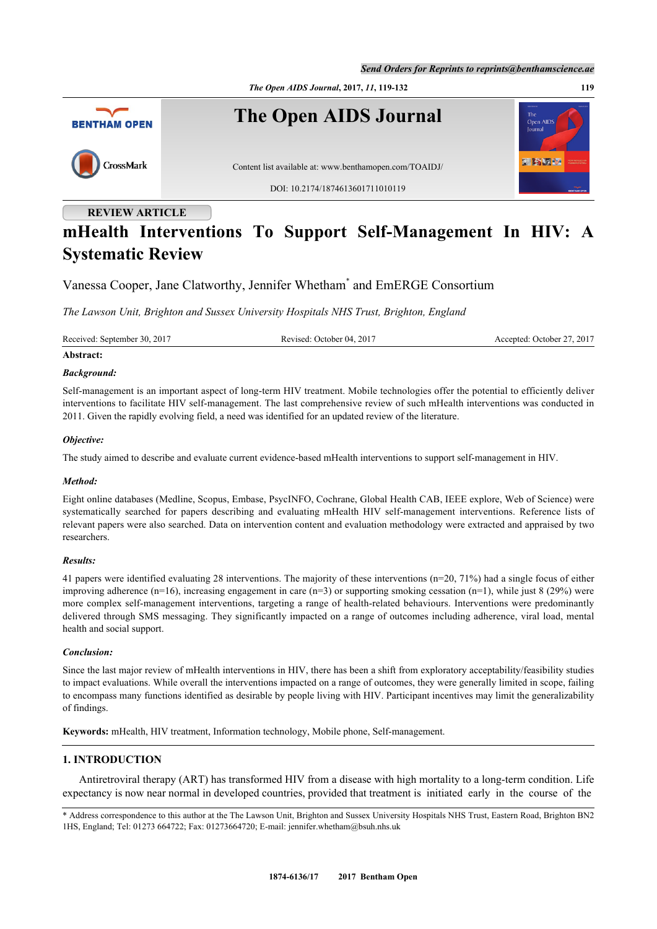

# **mHealth Interventions To Support Self-Management In HIV: A Systematic Review**

Vanessa Cooper, Jane Clatworthy, Jennifer Whetham[\\*](#page-0-0) and EmERGE Consortium

*The Lawson Unit, Brighton and Sussex University Hospitals NHS Trust, Brighton, England*

Received: September 30, 2017 Revised: October 04, 2017 Accepted: October 27, 2017

# **Abstract:**

## *Background:*

Self-management is an important aspect of long-term HIV treatment. Mobile technologies offer the potential to efficiently deliver interventions to facilitate HIV self-management. The last comprehensive review of such mHealth interventions was conducted in 2011. Given the rapidly evolving field, a need was identified for an updated review of the literature.

## *Objective:*

The study aimed to describe and evaluate current evidence-based mHealth interventions to support self-management in HIV.

## *Method:*

Eight online databases (Medline, Scopus, Embase, PsycINFO, Cochrane, Global Health CAB, IEEE explore, Web of Science) were systematically searched for papers describing and evaluating mHealth HIV self-management interventions. Reference lists of relevant papers were also searched. Data on intervention content and evaluation methodology were extracted and appraised by two researchers.

## *Results:*

41 papers were identified evaluating 28 interventions. The majority of these interventions (n=20, 71%) had a single focus of either improving adherence (n=16), increasing engagement in care (n=3) or supporting smoking cessation (n=1), while just 8 (29%) were more complex self-management interventions, targeting a range of health-related behaviours. Interventions were predominantly delivered through SMS messaging. They significantly impacted on a range of outcomes including adherence, viral load, mental health and social support.

## *Conclusion:*

Since the last major review of mHealth interventions in HIV, there has been a shift from exploratory acceptability/feasibility studies to impact evaluations. While overall the interventions impacted on a range of outcomes, they were generally limited in scope, failing to encompass many functions identified as desirable by people living with HIV. Participant incentives may limit the generalizability of findings.

**Keywords:** mHealth, HIV treatment, Information technology, Mobile phone, Self-management.

# **1. INTRODUCTION**

Antiretroviral therapy (ART) has transformed HIV from a disease with high mortality to a long-term condition. Life expectancy is now near normal in developed countries, provided that treatment is initiated early in the course of the

<span id="page-0-0"></span><sup>\*</sup> Address correspondence to this author at the The Lawson Unit, Brighton and Sussex University Hospitals NHS Trust, Eastern Road, Brighton BN2 1HS, England; Tel: 01273 664722; Fax: 01273664720; E-mail: [jennifer.whetham@bsuh.nhs.uk](mailto:jennifer.whetham@bsuh.nhs.uk)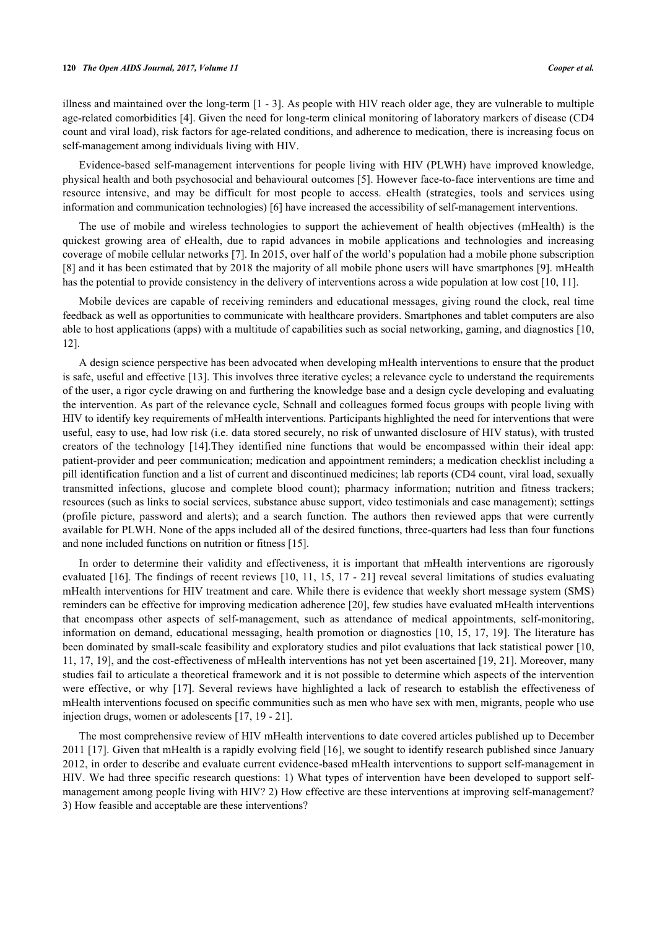illness and maintained over the long-term [[1](#page-10-0) - [3\]](#page-10-1). As people with HIV reach older age, they are vulnerable to multiple age-related comorbidities [\[4](#page-10-2)]. Given the need for long-term clinical monitoring of laboratory markers of disease (CD4 count and viral load), risk factors for age-related conditions, and adherence to medication, there is increasing focus on self-management among individuals living with HIV.

Evidence-based self-management interventions for people living with HIV (PLWH) have improved knowledge, physical health and both psychosocial and behavioural outcomes [\[5](#page-10-3)]. However face-to-face interventions are time and resource intensive, and may be difficult for most people to access. eHealth (strategies, tools and services using information and communication technologies) [[6\]](#page-10-4) have increased the accessibility of self-management interventions.

The use of mobile and wireless technologies to support the achievement of health objectives (mHealth) is the quickest growing area of eHealth, due to rapid advances in mobile applications and technologies and increasing coverage of mobile cellular networks [\[7](#page-10-5)]. In 2015, over half of the world's population had a mobile phone subscription [\[8](#page-10-6)] and it has been estimated that by 2018 the majority of all mobile phone users will have smartphones [[9\]](#page-10-7). mHealth has the potential to provide consistency in the delivery of interventions across a wide population at low cost [[10,](#page-10-8) [11\]](#page-10-9).

Mobile devices are capable of receiving reminders and educational messages, giving round the clock, real time feedback as well as opportunities to communicate with healthcare providers. Smartphones and tablet computers are also able to host applications (apps) with a multitude of capabilities such as social networking, gaming, and diagnostics [[10](#page-10-8), [12\]](#page-10-10).

A design science perspective has been advocated when developing mHealth interventions to ensure that the product is safe, useful and effective [[13](#page-10-11)]. This involves three iterative cycles; a relevance cycle to understand the requirements of the user, a rigor cycle drawing on and furthering the knowledge base and a design cycle developing and evaluating the intervention. As part of the relevance cycle, Schnall and colleagues formed focus groups with people living with HIV to identify key requirements of mHealth interventions. Participants highlighted the need for interventions that were useful, easy to use, had low risk (i.e. data stored securely, no risk of unwanted disclosure of HIV status), with trusted creators of the technology[[14](#page-10-12)].They identified nine functions that would be encompassed within their ideal app: patient-provider and peer communication; medication and appointment reminders; a medication checklist including a pill identification function and a list of current and discontinued medicines; lab reports (CD4 count, viral load, sexually transmitted infections, glucose and complete blood count); pharmacy information; nutrition and fitness trackers; resources (such as links to social services, substance abuse support, video testimonials and case management); settings (profile picture, password and alerts); and a search function. The authors then reviewed apps that were currently available for PLWH. None of the apps included all of the desired functions, three-quarters had less than four functions and none included functions on nutrition or fitness [\[15](#page-10-13)].

In order to determine their validity and effectiveness, it is important that mHealth interventions are rigorously evaluated [[16\]](#page-10-14). The findings of recent reviews [[10,](#page-10-8) [11](#page-10-9), [15](#page-10-13), [17](#page-10-15) - [21](#page-11-0)] reveal several limitations of studies evaluating mHealth interventions for HIV treatment and care. While there is evidence that weekly short message system (SMS) reminders can be effective for improving medication adherence [\[20](#page-11-1)], few studies have evaluated mHealth interventions that encompass other aspects of self-management, such as attendance of medical appointments, self-monitoring, information on demand, educational messaging, health promotion or diagnostics [[10](#page-10-8), [15](#page-10-13), [17](#page-10-15), [19](#page-10-16)]. The literature has been dominated by small-scale feasibility and exploratory studies and pilot evaluations that lack statistical power [[10](#page-10-8), [11,](#page-10-9) [17](#page-10-15), [19](#page-10-16)], and the cost-effectiveness of mHealth interventions has not yet been ascertained [\[19](#page-10-16), [21\]](#page-11-0). Moreover, many studies fail to articulate a theoretical framework and it is not possible to determine which aspects of the intervention were effective, or why [\[17](#page-10-15)]. Several reviews have highlighted a lack of research to establish the effectiveness of mHealth interventions focused on specific communities such as men who have sex with men, migrants, people who use injection drugs, women or adolescents [\[17](#page-10-15), [19](#page-10-16) - [21](#page-11-0)].

The most comprehensive review of HIV mHealth interventions to date covered articles published up to December 2011 [\[17](#page-10-15)]. Given that mHealth is a rapidly evolving field [\[16\]](#page-10-14), we sought to identify research published since January 2012, in order to describe and evaluate current evidence-based mHealth interventions to support self-management in HIV. We had three specific research questions: 1) What types of intervention have been developed to support selfmanagement among people living with HIV? 2) How effective are these interventions at improving self-management? 3) How feasible and acceptable are these interventions?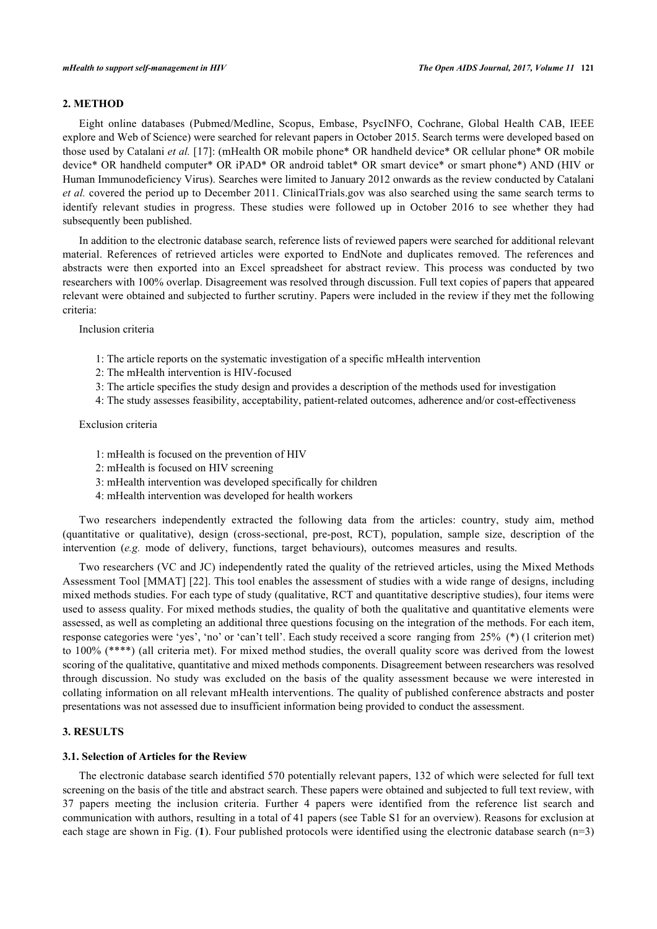# **2. METHOD**

Eight online databases (Pubmed/Medline, Scopus, Embase, PsycINFO, Cochrane, Global Health CAB, IEEE explore and Web of Science) were searched for relevant papers in October 2015. Search terms were developed based on those used by Catalani *et al.* [[17\]](#page-10-15): (mHealth OR mobile phone\* OR handheld device\* OR cellular phone\* OR mobile device\* OR handheld computer\* OR iPAD\* OR android tablet\* OR smart device\* or smart phone\*) AND (HIV or Human Immunodeficiency Virus). Searches were limited to January 2012 onwards as the review conducted by Catalani *et al.* covered the period up to December 2011. ClinicalTrials.gov was also searched using the same search terms to identify relevant studies in progress. These studies were followed up in October 2016 to see whether they had subsequently been published.

In addition to the electronic database search, reference lists of reviewed papers were searched for additional relevant material. References of retrieved articles were exported to EndNote and duplicates removed. The references and abstracts were then exported into an Excel spreadsheet for abstract review. This process was conducted by two researchers with 100% overlap. Disagreement was resolved through discussion. Full text copies of papers that appeared relevant were obtained and subjected to further scrutiny. Papers were included in the review if they met the following criteria:

Inclusion criteria

- 1: The article reports on the systematic investigation of a specific mHealth intervention
- 2: The mHealth intervention is HIV-focused
- 3: The article specifies the study design and provides a description of the methods used for investigation
- 4: The study assesses feasibility, acceptability, patient-related outcomes, adherence and/or cost-effectiveness

#### Exclusion criteria

- 1: mHealth is focused on the prevention of HIV
- 2: mHealth is focused on HIV screening
- 3: mHealth intervention was developed specifically for children
- 4: mHealth intervention was developed for health workers

Two researchers independently extracted the following data from the articles: country, study aim, method (quantitative or qualitative), design (cross-sectional, pre-post, RCT), population, sample size, description of the intervention (*e.g.* mode of delivery, functions, target behaviours), outcomes measures and results.

Two researchers (VC and JC) independently rated the quality of the retrieved articles, using the Mixed Methods Assessment Tool [MMAT] [[22](#page-11-2)]. This tool enables the assessment of studies with a wide range of designs, including mixed methods studies. For each type of study (qualitative, RCT and quantitative descriptive studies), four items were used to assess quality. For mixed methods studies, the quality of both the qualitative and quantitative elements were assessed, as well as completing an additional three questions focusing on the integration of the methods. For each item, response categories were 'yes', 'no' or 'can't tell'. Each study received a score ranging from 25% (\*) (1 criterion met) to 100% (\*\*\*\*) (all criteria met). For mixed method studies, the overall quality score was derived from the lowest scoring of the qualitative, quantitative and mixed methods components. Disagreement between researchers was resolved through discussion. No study was excluded on the basis of the quality assessment because we were interested in collating information on all relevant mHealth interventions. The quality of published conference abstracts and poster presentations was not assessed due to insufficient information being provided to conduct the assessment.

# **3. RESULTS**

# **3.1. Selection of Articles for the Review**

The electronic database search identified 570 potentially relevant papers, 132 of which were selected for full text screening on the basis of the title and abstract search. These papers were obtained and subjected to full text review, with 37 papers meeting the inclusion criteria. Further 4 papers were identified from the reference list search and communication with authors, resulting in a total of 41 papers (see Table S1 for an overview). Reasons for exclusion at each stage are shown in Fig. (**[1](#page-3-0)**). Four published protocols were identified using the electronic database search (n=3)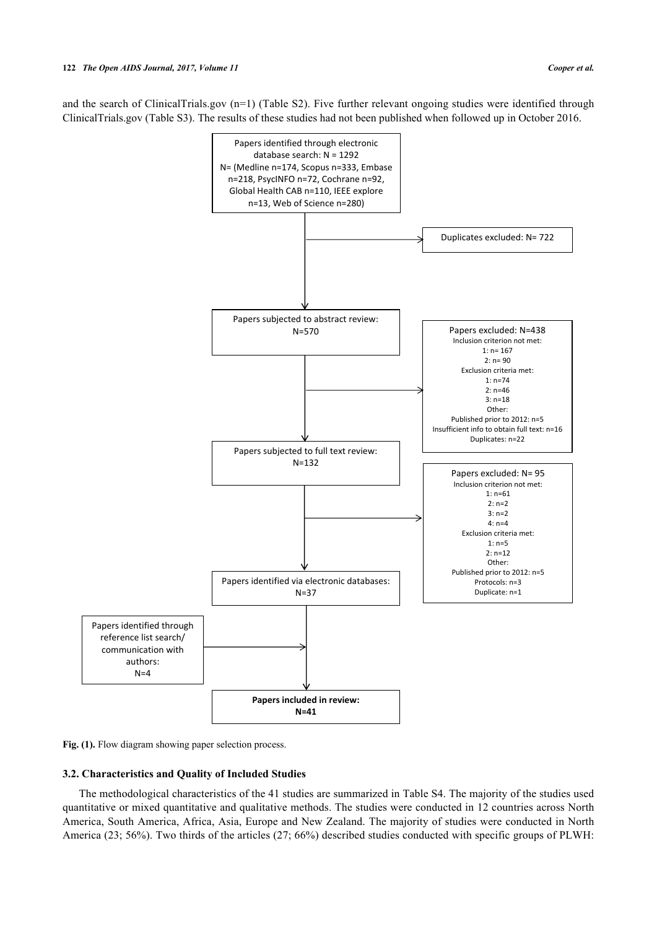<span id="page-3-0"></span>and the search of ClinicalTrials.gov (n=1) (Table S2). Five further relevant ongoing studies were identified through ClinicalTrials.gov (Table S3). The results of these studies had not been published when followed up in October 2016.



Fig. (1). Flow diagram showing paper selection process.

#### **3.2. Characteristics and Quality of Included Studies**

The methodological characteristics of the 41 studies are summarized in Table S4. The majority of the studies used quantitative or mixed quantitative and qualitative methods. The studies were conducted in 12 countries across North America, South America, Africa, Asia, Europe and New Zealand. The majority of studies were conducted in North America (23; 56%). Two thirds of the articles (27; 66%) described studies conducted with specific groups of PLWH: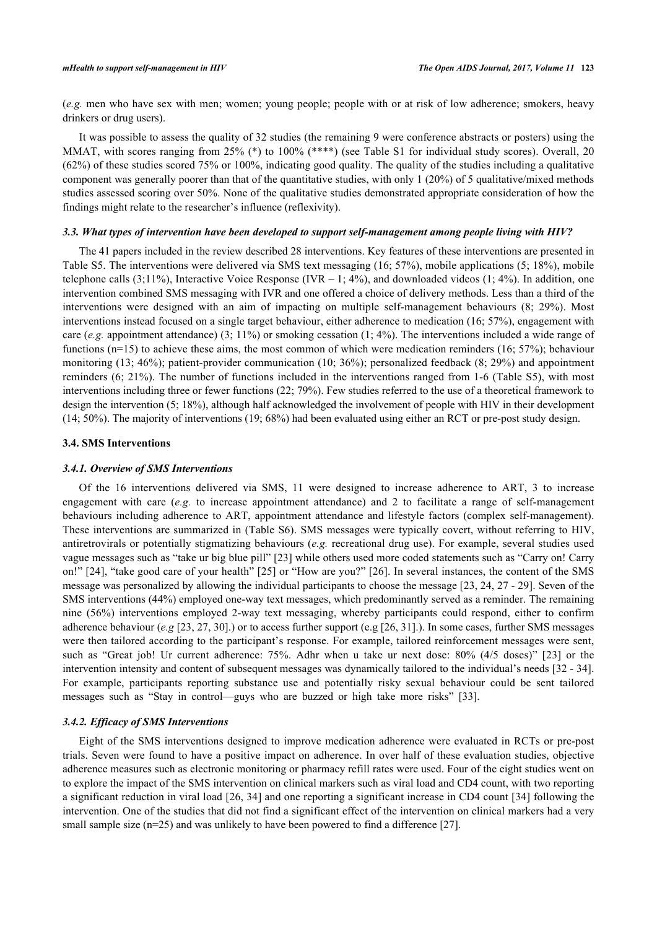(*e.g.* men who have sex with men; women; young people; people with or at risk of low adherence; smokers, heavy drinkers or drug users).

It was possible to assess the quality of 32 studies (the remaining 9 were conference abstracts or posters) using the MMAT, with scores ranging from 25% (\*) to 100% (\*\*\*\*) (see Table S1 for individual study scores). Overall, 20 (62%) of these studies scored 75% or 100%, indicating good quality. The quality of the studies including a qualitative component was generally poorer than that of the quantitative studies, with only 1 (20%) of 5 qualitative/mixed methods studies assessed scoring over 50%. None of the qualitative studies demonstrated appropriate consideration of how the findings might relate to the researcher's influence (reflexivity).

#### *3.3. What types of intervention have been developed to support self-management among people living with HIV?*

The 41 papers included in the review described 28 interventions. Key features of these interventions are presented in Table S5. The interventions were delivered via SMS text messaging (16; 57%), mobile applications (5; 18%), mobile telephone calls  $(3;11\%)$ , Interactive Voice Response (IVR – 1; 4%), and downloaded videos (1; 4%). In addition, one intervention combined SMS messaging with IVR and one offered a choice of delivery methods. Less than a third of the interventions were designed with an aim of impacting on multiple self-management behaviours (8; 29%). Most interventions instead focused on a single target behaviour, either adherence to medication (16; 57%), engagement with care (*e.g.* appointment attendance) (3; 11%) or smoking cessation (1; 4%). The interventions included a wide range of functions (n=15) to achieve these aims, the most common of which were medication reminders (16; 57%); behaviour monitoring (13; 46%); patient-provider communication (10; 36%); personalized feedback (8; 29%) and appointment reminders (6; 21%). The number of functions included in the interventions ranged from 1-6 (Table S5), with most interventions including three or fewer functions (22; 79%). Few studies referred to the use of a theoretical framework to design the intervention (5; 18%), although half acknowledged the involvement of people with HIV in their development (14; 50%). The majority of interventions (19; 68%) had been evaluated using either an RCT or pre-post study design.

## **3.4. SMS Interventions**

#### *3.4.1. Overview of SMS Interventions*

Of the 16 interventions delivered via SMS, 11 were designed to increase adherence to ART, 3 to increase engagement with care (*e.g.* to increase appointment attendance) and 2 to facilitate a range of self-management behaviours including adherence to ART, appointment attendance and lifestyle factors (complex self-management). These interventions are summarized in (Table S6). SMS messages were typically covert, without referring to HIV, antiretrovirals or potentially stigmatizing behaviours (*e.g.* recreational drug use). For example, several studies used vague messages such as "take ur big blue pill" [\[23\]](#page-11-3) while others used more coded statements such as "Carry on! Carry on!" [\[24](#page-11-4)], "take good care of your health" [[25\]](#page-11-5) or "How are you?" [[26](#page-11-6)]. In several instances, the content of the SMS message was personalized by allowing the individual participants to choose the message [\[23](#page-11-3), [24,](#page-11-4) [27](#page-11-7) - [29\]](#page-11-8). Seven of the SMS interventions (44%) employed one-way text messages, which predominantly served as a reminder. The remaining nine (56%) interventions employed 2-way text messaging, whereby participants could respond, either to confirm adherence behaviour (*e.g* [[23,](#page-11-3) [27,](#page-11-7) [30\]](#page-11-9).) or to access further support (e.g [\[26](#page-11-6), [31](#page-11-10)].). In some cases, further SMS messages were then tailored according to the participant's response. For example, tailored reinforcement messages were sent, such as "Great job! Ur current adherence: 75%. Adhr when u take ur next dose: 80% (4/5 doses)"[[23](#page-11-3)] or the intervention intensity and content of subsequent messages was dynamically tailored to the individual's needs [[32](#page-11-11) - [34\]](#page-11-12). For example, participants reporting substance use and potentially risky sexual behaviour could be sent tailored messages such as "Stay in control—guys who are buzzed or high take more risks" [\[33](#page-11-13)].

## *3.4.2. Efficacy of SMS Interventions*

Eight of the SMS interventions designed to improve medication adherence were evaluated in RCTs or pre-post trials. Seven were found to have a positive impact on adherence. In over half of these evaluation studies, objective adherence measures such as electronic monitoring or pharmacy refill rates were used. Four of the eight studies went on to explore the impact of the SMS intervention on clinical markers such as viral load and CD4 count, with two reporting a significant reduction in viral load [[26](#page-11-6), [34\]](#page-11-12) and one reporting a significant increase in CD4 count [[34](#page-11-12)] following the intervention. One of the studies that did not find a significant effect of the intervention on clinical markers had a very small sample size (n=25) and was unlikely to have been powered to find a difference [[27\]](#page-11-7).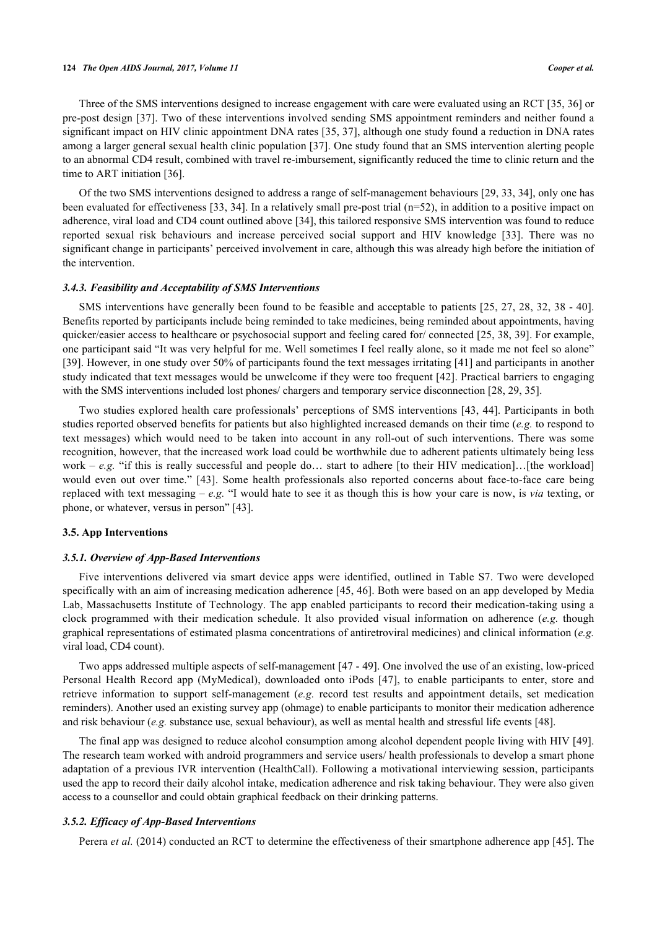#### **124** *The Open AIDS Journal, 2017, Volume 11 Cooper et al.*

Three of the SMS interventions designed to increase engagement with care were evaluated using an RCT [\[35](#page-11-14), [36](#page-11-15)] or pre-post design [[37](#page-11-16)]. Two of these interventions involved sending SMS appointment reminders and neither found a significant impact on HIV clinic appointment DNA rates [[35](#page-11-14), [37](#page-11-16)], although one study found a reduction in DNA rates among a larger general sexual health clinic population [[37\]](#page-11-16). One study found that an SMS intervention alerting people to an abnormal CD4 result, combined with travel re-imbursement, significantly reduced the time to clinic return and the time to ART initiation [[36\]](#page-11-15).

Of the two SMS interventions designed to address a range of self-management behaviours [\[29](#page-11-8), [33,](#page-11-13) [34\]](#page-11-12), only one has been evaluated for effectiveness [\[33,](#page-11-13) [34\]](#page-11-12). In a relatively small pre-post trial (n=52), in addition to a positive impact on adherence, viral load and CD4 count outlined above [[34\]](#page-11-12), this tailored responsive SMS intervention was found to reduce reported sexual risk behaviours and increase perceived social support and HIV knowledge [\[33](#page-11-13)]. There was no significant change in participants' perceived involvement in care, although this was already high before the initiation of the intervention.

## *3.4.3. Feasibility and Acceptability of SMS Interventions*

SMS interventions have generally been found to be feasible and acceptable to patients [\[25,](#page-11-5) [27,](#page-11-7) [28,](#page-11-17) [32,](#page-11-11) [38](#page-12-0) - [40\]](#page-12-1). Benefits reported by participants include being reminded to take medicines, being reminded about appointments, having quicker/easier access to healthcare or psychosocial support and feeling cared for/ connected [[25,](#page-11-5) [38](#page-12-0), [39\]](#page-12-2). For example, one participant said "It was very helpful for me. Well sometimes I feel really alone, so it made me not feel so alone" [\[39](#page-12-2)]. However, in one study over 50% of participants found the text messages irritating [\[41](#page-12-3)] and participants in another study indicated that text messages would be unwelcome if they were too frequent [[42\]](#page-12-4). Practical barriers to engaging with the SMS interventions included lost phones/ chargers and temporary service disconnection [[28,](#page-11-17) [29,](#page-11-8) [35\]](#page-11-14).

Two studies explored health care professionals' perceptions of SMS interventions [\[43,](#page-12-5) [44\]](#page-12-6). Participants in both studies reported observed benefits for patients but also highlighted increased demands on their time (*e.g.* to respond to text messages) which would need to be taken into account in any roll-out of such interventions. There was some recognition, however, that the increased work load could be worthwhile due to adherent patients ultimately being less work – *e.g.* "if this is really successful and people do... start to adhere [to their HIV medication]...[the workload] would even out over time."[[43\]](#page-12-5). Some health professionals also reported concerns about face-to-face care being replaced with text messaging – *e.g.* "I would hate to see it as though this is how your care is now, is *via* texting, or phone, or whatever, versus in person" [[43\]](#page-12-5).

#### **3.5. App Interventions**

#### *3.5.1. Overview of App-Based Interventions*

Five interventions delivered via smart device apps were identified, outlined in Table S7. Two were developed specifically with an aim of increasing medication adherence [[45](#page-12-7), [46\]](#page-12-8). Both were based on an app developed by Media Lab, Massachusetts Institute of Technology. The app enabled participants to record their medication-taking using a clock programmed with their medication schedule. It also provided visual information on adherence (*e.g.* though graphical representations of estimated plasma concentrations of antiretroviral medicines) and clinical information (*e.g.* viral load, CD4 count).

Two apps addressed multiple aspects of self-management [[47](#page-12-9) - [49\]](#page-12-10). One involved the use of an existing, low-priced Personal Health Record app (MyMedical), downloaded onto iPods [\[47\]](#page-12-9), to enable participants to enter, store and retrieve information to support self-management (*e.g.* record test results and appointment details, set medication reminders). Another used an existing survey app (ohmage) to enable participants to monitor their medication adherence and risk behaviour (*e.g.* substance use, sexual behaviour), as well as mental health and stressful life events [[48\]](#page-12-11).

The final app was designed to reduce alcohol consumption among alcohol dependent people living with HIV [[49\]](#page-12-10). The research team worked with android programmers and service users/ health professionals to develop a smart phone adaptation of a previous IVR intervention (HealthCall). Following a motivational interviewing session, participants used the app to record their daily alcohol intake, medication adherence and risk taking behaviour. They were also given access to a counsellor and could obtain graphical feedback on their drinking patterns.

#### *3.5.2. Efficacy of App-Based Interventions*

Perera *et al.* (2014) conducted an RCT to determine the effectiveness of their smartphone adherence app [\[45](#page-12-7)]. The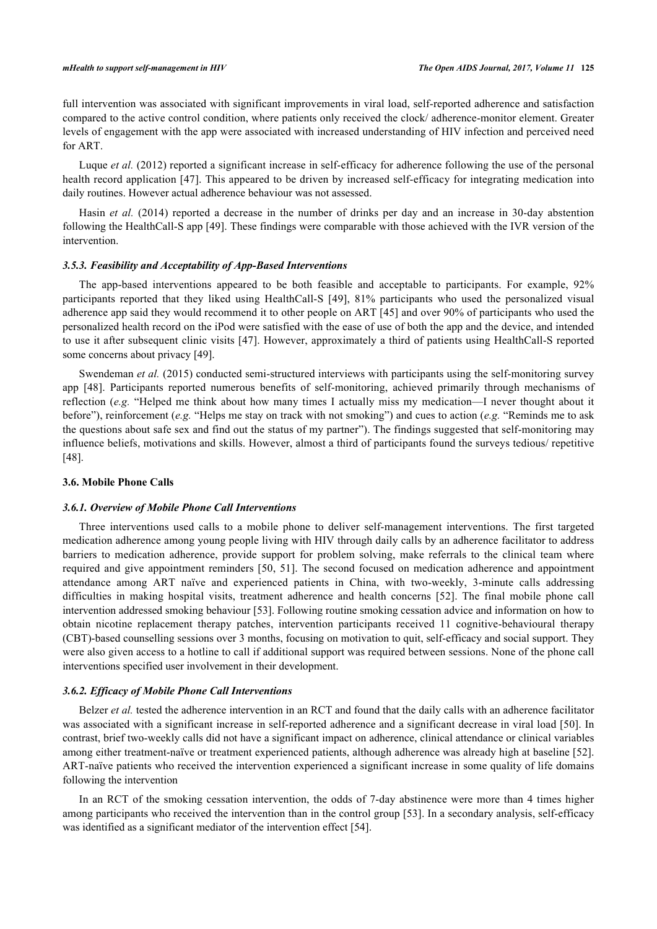full intervention was associated with significant improvements in viral load, self-reported adherence and satisfaction compared to the active control condition, where patients only received the clock/ adherence-monitor element. Greater levels of engagement with the app were associated with increased understanding of HIV infection and perceived need for ART.

Luque *et al.* (2012) reported a significant increase in self-efficacy for adherence following the use of the personal health record application [[47\]](#page-12-9). This appeared to be driven by increased self-efficacy for integrating medication into daily routines. However actual adherence behaviour was not assessed.

Hasin *et al.* (2014) reported a decrease in the number of drinks per day and an increase in 30-day abstention following the HealthCall-S app [[49](#page-12-10)]. These findings were comparable with those achieved with the IVR version of the intervention.

#### *3.5.3. Feasibility and Acceptability of App-Based Interventions*

The app-based interventions appeared to be both feasible and acceptable to participants. For example, 92% participants reported that they liked using HealthCall-S[[49](#page-12-10)], 81% participants who used the personalized visual adherence app said they would recommend it to other people on ART [[45\]](#page-12-7) and over 90% of participants who used the personalized health record on the iPod were satisfied with the ease of use of both the app and the device, and intended to use it after subsequent clinic visits [[47\]](#page-12-9). However, approximately a third of patients using HealthCall-S reported some concerns about privacy [[49\]](#page-12-10).

Swendeman *et al.* (2015) conducted semi-structured interviews with participants using the self-monitoring survey app [\[48](#page-12-11)]. Participants reported numerous benefits of self-monitoring, achieved primarily through mechanisms of reflection (*e.g.* "Helped me think about how many times I actually miss my medication—I never thought about it before"), reinforcement (*e.g.* "Helps me stay on track with not smoking") and cues to action (*e.g.* "Reminds me to ask the questions about safe sex and find out the status of my partner"). The findings suggested that self-monitoring may influence beliefs, motivations and skills. However, almost a third of participants found the surveys tedious/ repetitive [\[48](#page-12-11)].

## **3.6. Mobile Phone Calls**

### *3.6.1. Overview of Mobile Phone Call Interventions*

Three interventions used calls to a mobile phone to deliver self-management interventions. The first targeted medication adherence among young people living with HIV through daily calls by an adherence facilitator to address barriers to medication adherence, provide support for problem solving, make referrals to the clinical team where required and give appointment reminders [\[50](#page-12-12), [51\]](#page-12-13). The second focused on medication adherence and appointment attendance among ART naïve and experienced patients in China, with two-weekly, 3-minute calls addressing difficulties in making hospital visits, treatment adherence and health concerns [\[52\]](#page-12-14). The final mobile phone call intervention addressed smoking behaviour [[53](#page-12-15)]. Following routine smoking cessation advice and information on how to obtain nicotine replacement therapy patches, intervention participants received 11 cognitive-behavioural therapy (CBT)-based counselling sessions over 3 months, focusing on motivation to quit, self-efficacy and social support. They were also given access to a hotline to call if additional support was required between sessions. None of the phone call interventions specified user involvement in their development.

## *3.6.2. Efficacy of Mobile Phone Call Interventions*

Belzer *et al.* tested the adherence intervention in an RCT and found that the daily calls with an adherence facilitator was associated with a significant increase in self-reported adherence and a significant decrease in viral load [[50](#page-12-12)]. In contrast, brief two-weekly calls did not have a significant impact on adherence, clinical attendance or clinical variables among either treatment-naïve or treatment experienced patients, although adherence was already high at baseline [[52\]](#page-12-14). ART-naïve patients who received the intervention experienced a significant increase in some quality of life domains following the intervention

In an RCT of the smoking cessation intervention, the odds of 7-day abstinence were more than 4 times higher among participants who received the intervention than in the control group [[53\]](#page-12-15). In a secondary analysis, self-efficacy was identified as a significant mediator of the intervention effect [\[54](#page-12-16)].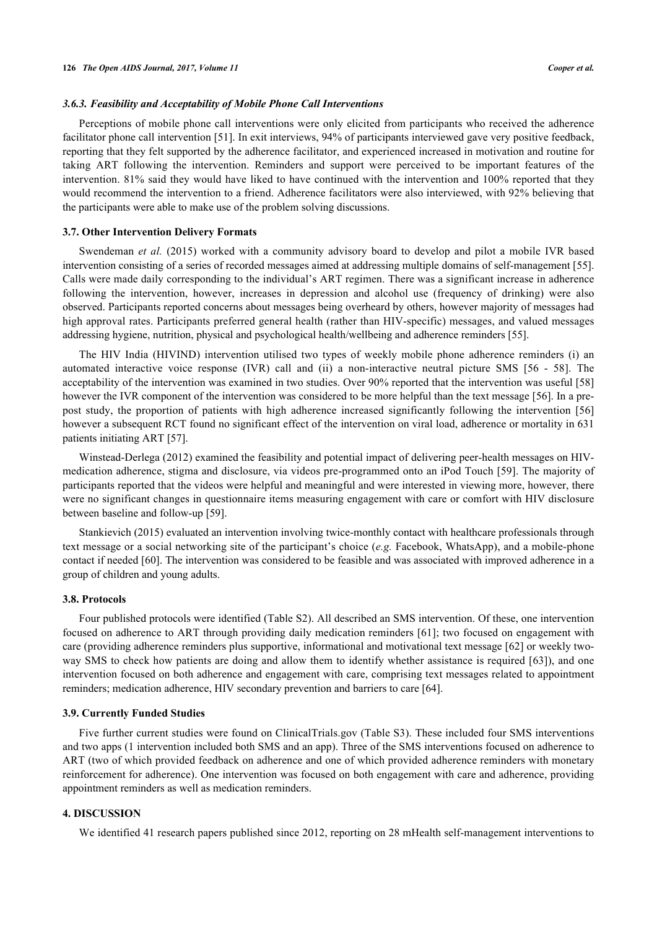## *3.6.3. Feasibility and Acceptability of Mobile Phone Call Interventions*

Perceptions of mobile phone call interventions were only elicited from participants who received the adherence facilitator phone call intervention [\[51](#page-12-13)]. In exit interviews, 94% of participants interviewed gave very positive feedback, reporting that they felt supported by the adherence facilitator, and experienced increased in motivation and routine for taking ART following the intervention. Reminders and support were perceived to be important features of the intervention. 81% said they would have liked to have continued with the intervention and 100% reported that they would recommend the intervention to a friend. Adherence facilitators were also interviewed, with 92% believing that the participants were able to make use of the problem solving discussions.

## **3.7. Other Intervention Delivery Formats**

Swendeman *et al.* (2015) worked with a community advisory board to develop and pilot a mobile IVR based intervention consisting of a series of recorded messages aimed at addressing multiple domains of self-management [[55\]](#page-12-17). Calls were made daily corresponding to the individual's ART regimen. There was a significant increase in adherence following the intervention, however, increases in depression and alcohol use (frequency of drinking) were also observed. Participants reported concerns about messages being overheard by others, however majority of messages had high approval rates. Participants preferred general health (rather than HIV-specific) messages, and valued messages addressing hygiene, nutrition, physical and psychological health/wellbeing and adherence reminders [[55\]](#page-12-17).

The HIV India (HIVIND) intervention utilised two types of weekly mobile phone adherence reminders (i) an automated interactive voice response (IVR) call and (ii) a non-interactive neutral picture SMS [\[56](#page-12-18) - [58\]](#page-13-0). The acceptability of the intervention was examined in two studies. Over 90% reported that the intervention was useful [\[58](#page-13-0)] however the IVR component of the intervention was considered to be more helpful than the text message [[56](#page-12-18)]. In a prepost study, the proportion of patients with high adherence increased significantly following the intervention[[56](#page-12-18)] however a subsequent RCT found no significant effect of the intervention on viral load, adherence or mortality in 631 patients initiating ART [[57\]](#page-12-19).

Winstead-Derlega (2012) examined the feasibility and potential impact of delivering peer-health messages on HIVmedication adherence, stigma and disclosure, via videos pre-programmed onto an iPod Touch [[59](#page-13-1)]. The majority of participants reported that the videos were helpful and meaningful and were interested in viewing more, however, there were no significant changes in questionnaire items measuring engagement with care or comfort with HIV disclosure between baseline and follow-up [[59\]](#page-13-1).

Stankievich (2015) evaluated an intervention involving twice-monthly contact with healthcare professionals through text message or a social networking site of the participant's choice (*e.g.* Facebook, WhatsApp), and a mobile-phone contact if needed [\[60](#page-13-2)]. The intervention was considered to be feasible and was associated with improved adherence in a group of children and young adults.

## **3.8. Protocols**

Four published protocols were identified (Table S2). All described an SMS intervention. Of these, one intervention focused on adherence to ART through providing daily medication reminders [[61\]](#page-13-3); two focused on engagement with care (providing adherence reminders plus supportive, informational and motivational text message [\[62](#page-13-4)] or weekly two-way SMS to check how patients are doing and allow them to identify whether assistance is required [[63](#page-13-5)]), and one intervention focused on both adherence and engagement with care, comprising text messages related to appointment reminders; medication adherence, HIV secondary prevention and barriers to care [[64\]](#page-13-6).

#### **3.9. Currently Funded Studies**

Five further current studies were found on ClinicalTrials.gov (Table S3). These included four SMS interventions and two apps (1 intervention included both SMS and an app). Three of the SMS interventions focused on adherence to ART (two of which provided feedback on adherence and one of which provided adherence reminders with monetary reinforcement for adherence). One intervention was focused on both engagement with care and adherence, providing appointment reminders as well as medication reminders.

# **4. DISCUSSION**

We identified 41 research papers published since 2012, reporting on 28 mHealth self-management interventions to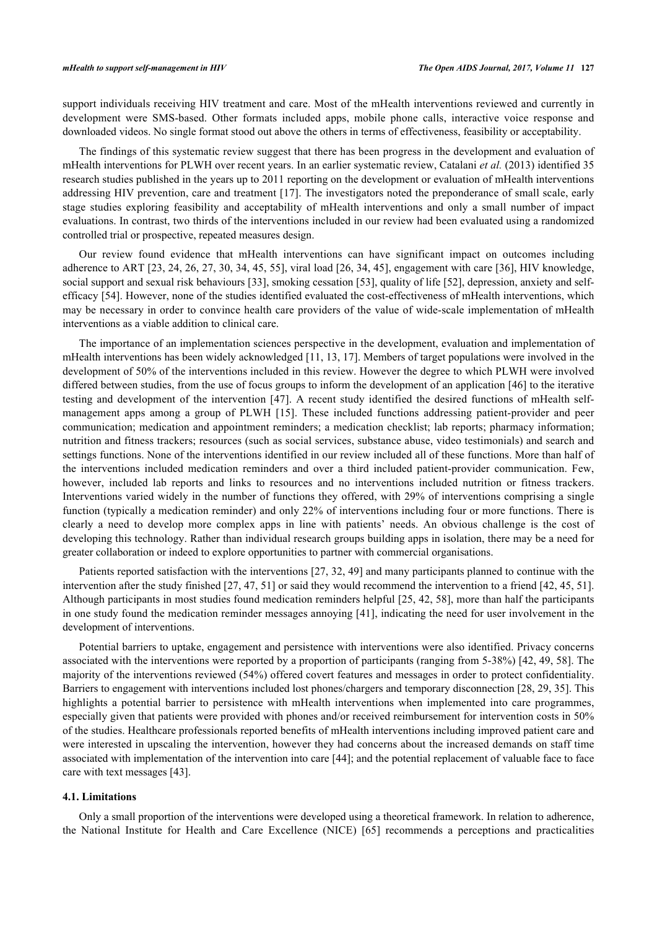support individuals receiving HIV treatment and care. Most of the mHealth interventions reviewed and currently in development were SMS-based. Other formats included apps, mobile phone calls, interactive voice response and downloaded videos. No single format stood out above the others in terms of effectiveness, feasibility or acceptability.

The findings of this systematic review suggest that there has been progress in the development and evaluation of mHealth interventions for PLWH over recent years. In an earlier systematic review, Catalani *et al.* (2013) identified 35 research studies published in the years up to 2011 reporting on the development or evaluation of mHealth interventions addressing HIV prevention, care and treatment [[17](#page-10-15)]. The investigators noted the preponderance of small scale, early stage studies exploring feasibility and acceptability of mHealth interventions and only a small number of impact evaluations. In contrast, two thirds of the interventions included in our review had been evaluated using a randomized controlled trial or prospective, repeated measures design.

Our review found evidence that mHealth interventions can have significant impact on outcomes including adherence to ART [\[23](#page-11-3), [24,](#page-11-4) [26,](#page-11-6) [27](#page-11-7), [30,](#page-11-9) [34,](#page-11-12) [45](#page-12-7), [55\]](#page-12-17), viral load [[26](#page-11-6), [34](#page-11-12), [45\]](#page-12-7), engagement with care [\[36\]](#page-11-15), HIV knowledge, social support and sexual risk behaviours [[33](#page-11-13)], smoking cessation [\[53](#page-12-15)], quality of life [\[52](#page-12-14)], depression, anxiety and selfefficacy [\[54](#page-12-16)]. However, none of the studies identified evaluated the cost-effectiveness of mHealth interventions, which may be necessary in order to convince health care providers of the value of wide-scale implementation of mHealth interventions as a viable addition to clinical care.

The importance of an implementation sciences perspective in the development, evaluation and implementation of mHealth interventions has been widely acknowledged [[11,](#page-10-9) [13,](#page-10-11) [17\]](#page-10-15). Members of target populations were involved in the development of 50% of the interventions included in this review. However the degree to which PLWH were involved differed between studies, from the use of focus groups to inform the development of an application [[46](#page-12-8)] to the iterative testing and development of the intervention [\[47\]](#page-12-9). A recent study identified the desired functions of mHealth selfmanagement apps among a group of PLWH [\[15\]](#page-10-13). These included functions addressing patient-provider and peer communication; medication and appointment reminders; a medication checklist; lab reports; pharmacy information; nutrition and fitness trackers; resources (such as social services, substance abuse, video testimonials) and search and settings functions. None of the interventions identified in our review included all of these functions. More than half of the interventions included medication reminders and over a third included patient-provider communication. Few, however, included lab reports and links to resources and no interventions included nutrition or fitness trackers. Interventions varied widely in the number of functions they offered, with 29% of interventions comprising a single function (typically a medication reminder) and only 22% of interventions including four or more functions. There is clearly a need to develop more complex apps in line with patients' needs. An obvious challenge is the cost of developing this technology. Rather than individual research groups building apps in isolation, there may be a need for greater collaboration or indeed to explore opportunities to partner with commercial organisations.

Patients reported satisfaction with the interventions [\[27](#page-11-7), [32](#page-11-11), [49\]](#page-12-10) and many participants planned to continue with the intervention after the study finished [\[27](#page-11-7), [47](#page-12-9), [51](#page-12-13)] or said they would recommend the intervention to a friend [\[42,](#page-12-4) [45,](#page-12-7) [51\]](#page-12-13). Although participants in most studies found medication reminders helpful [\[25](#page-11-5), [42,](#page-12-4) [58](#page-13-0)], more than half the participants in one study found the medication reminder messages annoying [[41](#page-12-3)], indicating the need for user involvement in the development of interventions.

Potential barriers to uptake, engagement and persistence with interventions were also identified. Privacy concerns associated with the interventions were reported by a proportion of participants (ranging from 5-38%) [\[42,](#page-12-4) [49,](#page-12-10) [58](#page-13-0)]. The majority of the interventions reviewed (54%) offered covert features and messages in order to protect confidentiality. Barriers to engagement with interventions included lost phones/chargers and temporary disconnection [\[28](#page-11-17), [29](#page-11-8), [35](#page-11-14)]. This highlights a potential barrier to persistence with mHealth interventions when implemented into care programmes, especially given that patients were provided with phones and/or received reimbursement for intervention costs in 50% of the studies. Healthcare professionals reported benefits of mHealth interventions including improved patient care and were interested in upscaling the intervention, however they had concerns about the increased demands on staff time associated with implementation of the intervention into care [\[44\]](#page-12-6); and the potential replacement of valuable face to face care with text messages [\[43](#page-12-5)].

# **4.1. Limitations**

Only a small proportion of the interventions were developed using a theoretical framework. In relation to adherence, the National Institute for Health and Care Excellence (NICE) [\[65](#page-13-7)] recommends a perceptions and practicalities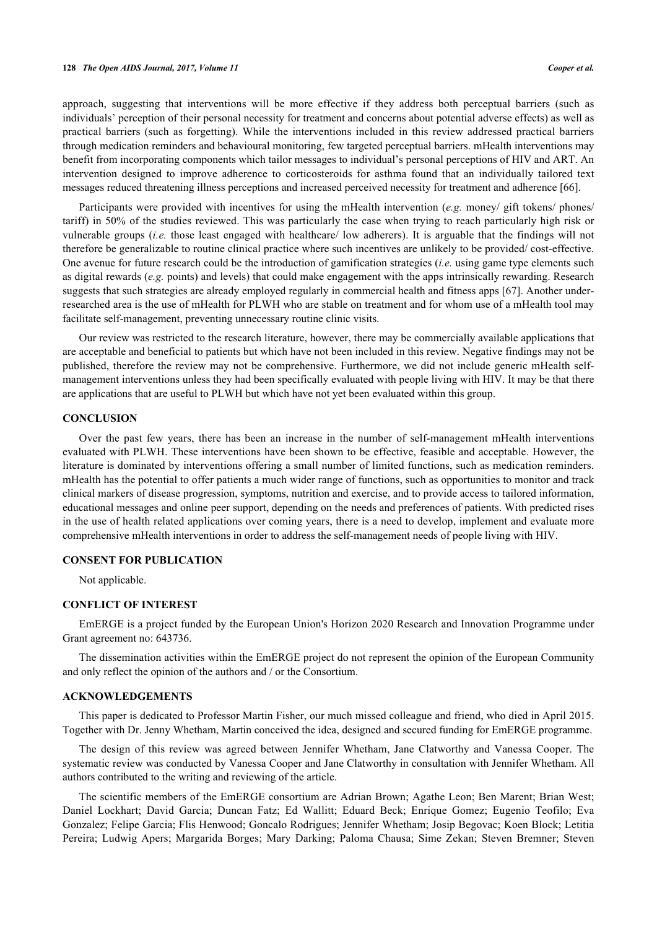#### **128** *The Open AIDS Journal, 2017, Volume 11 Cooper et al.*

approach, suggesting that interventions will be more effective if they address both perceptual barriers (such as individuals' perception of their personal necessity for treatment and concerns about potential adverse effects) as well as practical barriers (such as forgetting). While the interventions included in this review addressed practical barriers through medication reminders and behavioural monitoring, few targeted perceptual barriers. mHealth interventions may benefit from incorporating components which tailor messages to individual's personal perceptions of HIV and ART. An intervention designed to improve adherence to corticosteroids for asthma found that an individually tailored text messages reduced threatening illness perceptions and increased perceived necessity for treatment and adherence [[66\]](#page-13-8).

Participants were provided with incentives for using the mHealth intervention (*e.g.* money/ gift tokens/ phones/ tariff) in 50% of the studies reviewed. This was particularly the case when trying to reach particularly high risk or vulnerable groups (*i.e.* those least engaged with healthcare/ low adherers). It is arguable that the findings will not therefore be generalizable to routine clinical practice where such incentives are unlikely to be provided/ cost-effective. One avenue for future research could be the introduction of gamification strategies (*i.e.* using game type elements such as digital rewards (*e.g.* points) and levels) that could make engagement with the apps intrinsically rewarding. Research suggests that such strategies are already employed regularly in commercial health and fitness apps [\[67](#page-13-9)]. Another underresearched area is the use of mHealth for PLWH who are stable on treatment and for whom use of a mHealth tool may facilitate self-management, preventing unnecessary routine clinic visits.

Our review was restricted to the research literature, however, there may be commercially available applications that are acceptable and beneficial to patients but which have not been included in this review. Negative findings may not be published, therefore the review may not be comprehensive. Furthermore, we did not include generic mHealth selfmanagement interventions unless they had been specifically evaluated with people living with HIV. It may be that there are applications that are useful to PLWH but which have not yet been evaluated within this group.

## **CONCLUSION**

Over the past few years, there has been an increase in the number of self-management mHealth interventions evaluated with PLWH. These interventions have been shown to be effective, feasible and acceptable. However, the literature is dominated by interventions offering a small number of limited functions, such as medication reminders. mHealth has the potential to offer patients a much wider range of functions, such as opportunities to monitor and track clinical markers of disease progression, symptoms, nutrition and exercise, and to provide access to tailored information, educational messages and online peer support, depending on the needs and preferences of patients. With predicted rises in the use of health related applications over coming years, there is a need to develop, implement and evaluate more comprehensive mHealth interventions in order to address the self-management needs of people living with HIV.

## **CONSENT FOR PUBLICATION**

Not applicable.

## **CONFLICT OF INTEREST**

EmERGE is a project funded by the European Union's Horizon 2020 Research and Innovation Programme under Grant agreement no: 643736.

The dissemination activities within the EmERGE project do not represent the opinion of the European Community and only reflect the opinion of the authors and / or the Consortium.

#### **ACKNOWLEDGEMENTS**

This paper is dedicated to Professor Martin Fisher, our much missed colleague and friend, who died in April 2015. Together with Dr. Jenny Whetham, Martin conceived the idea, designed and secured funding for EmERGE programme.

The design of this review was agreed between Jennifer Whetham, Jane Clatworthy and Vanessa Cooper. The systematic review was conducted by Vanessa Cooper and Jane Clatworthy in consultation with Jennifer Whetham. All authors contributed to the writing and reviewing of the article.

The scientific members of the EmERGE consortium are Adrian Brown; Agathe Leon; Ben Marent; Brian West; Daniel Lockhart; David Garcia; Duncan Fatz; Ed Wallitt; Eduard Beck; Enrique Gomez; Eugenio Teofilo; Eva Gonzalez; Felipe Garcia; Flis Henwood; Goncalo Rodrigues; Jennifer Whetham; Josip Begovac; Koen Block; Letitia Pereira; Ludwig Apers; Margarida Borges; Mary Darking; Paloma Chausa; Sime Zekan; Steven Bremner; Steven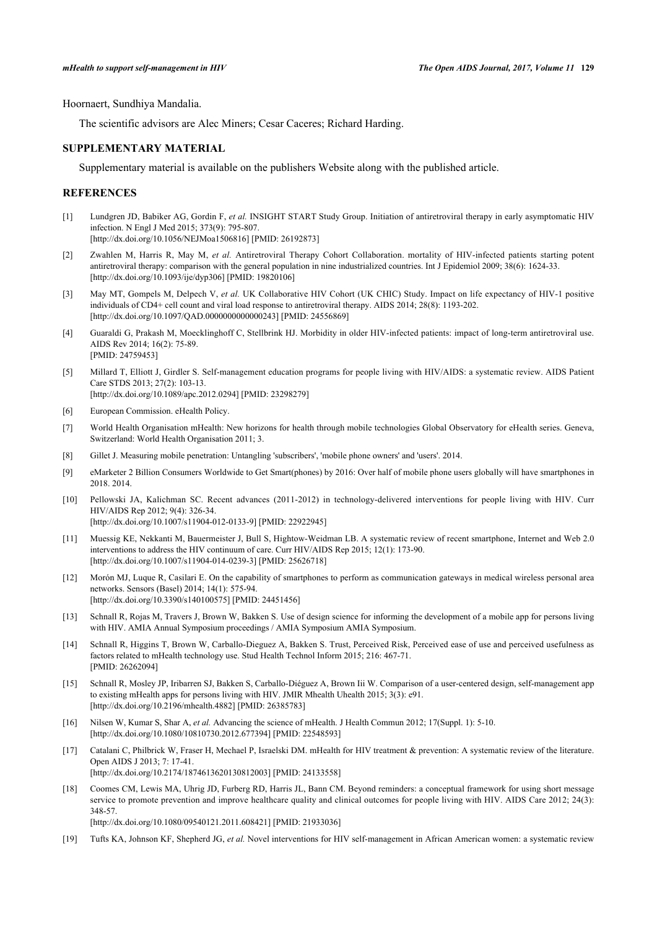Hoornaert, Sundhiya Mandalia.

The scientific advisors are Alec Miners; Cesar Caceres; Richard Harding.

## **SUPPLEMENTARY MATERIAL**

Supplementary material is available on the publishers Website along with the published article.

## **REFERENCES**

- <span id="page-10-0"></span>[1] Lundgren JD, Babiker AG, Gordin F, *et al.* INSIGHT START Study Group. Initiation of antiretroviral therapy in early asymptomatic HIV infection. N Engl J Med 2015; 373(9): 795-807. [\[http://dx.doi.org/10.1056/NEJMoa1506816](http://dx.doi.org/10.1056/NEJMoa1506816)] [PMID: [26192873\]](http://www.ncbi.nlm.nih.gov/pubmed/26192873)
- [2] Zwahlen M, Harris R, May M, *et al.* Antiretroviral Therapy Cohort Collaboration. mortality of HIV-infected patients starting potent antiretroviral therapy: comparison with the general population in nine industrialized countries. Int J Epidemiol 2009; 38(6): 1624-33. [\[http://dx.doi.org/10.1093/ije/dyp306](http://dx.doi.org/10.1093/ije/dyp306)] [PMID: [19820106\]](http://www.ncbi.nlm.nih.gov/pubmed/19820106)
- <span id="page-10-1"></span>[3] May MT, Gompels M, Delpech V, *et al.* UK Collaborative HIV Cohort (UK CHIC) Study. Impact on life expectancy of HIV-1 positive individuals of CD4+ cell count and viral load response to antiretroviral therapy. AIDS 2014; 28(8): 1193-202. [\[http://dx.doi.org/10.1097/QAD.0000000000000243](http://dx.doi.org/10.1097/QAD.0000000000000243)] [PMID: [24556869\]](http://www.ncbi.nlm.nih.gov/pubmed/24556869)
- <span id="page-10-2"></span>[4] Guaraldi G, Prakash M, Moecklinghoff C, Stellbrink HJ. Morbidity in older HIV-infected patients: impact of long-term antiretroviral use. AIDS Rev 2014; 16(2): 75-89. [PMID: [24759453\]](http://www.ncbi.nlm.nih.gov/pubmed/24759453)
- <span id="page-10-3"></span>[5] Millard T, Elliott J, Girdler S. Self-management education programs for people living with HIV/AIDS: a systematic review. AIDS Patient Care STDS 2013; 27(2): 103-13. [\[http://dx.doi.org/10.1089/apc.2012.0294\]](http://dx.doi.org/10.1089/apc.2012.0294) [PMID: [23298279](http://www.ncbi.nlm.nih.gov/pubmed/23298279)]
- <span id="page-10-4"></span>[6] European Commission. eHealth Policy.
- <span id="page-10-5"></span>[7] World Health Organisation mHealth: New horizons for health through mobile technologies Global Observatory for eHealth series. Geneva, Switzerland: World Health Organisation 2011; 3.
- <span id="page-10-6"></span>[8] Gillet J. Measuring mobile penetration: Untangling 'subscribers', 'mobile phone owners' and 'users'. 2014.
- <span id="page-10-7"></span>[9] eMarketer 2 Billion Consumers Worldwide to Get Smart(phones) by 2016: Over half of mobile phone users globally will have smartphones in 2018. 2014.
- <span id="page-10-8"></span>[10] Pellowski JA, Kalichman SC. Recent advances (2011-2012) in technology-delivered interventions for people living with HIV. Curr HIV/AIDS Rep 2012; 9(4): 326-34. [\[http://dx.doi.org/10.1007/s11904-012-0133-9\]](http://dx.doi.org/10.1007/s11904-012-0133-9) [PMID: [22922945](http://www.ncbi.nlm.nih.gov/pubmed/22922945)]
- <span id="page-10-9"></span>[11] Muessig KE, Nekkanti M, Bauermeister J, Bull S, Hightow-Weidman LB. A systematic review of recent smartphone, Internet and Web 2.0 interventions to address the HIV continuum of care. Curr HIV/AIDS Rep 2015; 12(1): 173-90. [\[http://dx.doi.org/10.1007/s11904-014-0239-3\]](http://dx.doi.org/10.1007/s11904-014-0239-3) [PMID: [25626718](http://www.ncbi.nlm.nih.gov/pubmed/25626718)]
- <span id="page-10-10"></span>[12] Morón MJ, Luque R, Casilari E. On the capability of smartphones to perform as communication gateways in medical wireless personal area networks. Sensors (Basel) 2014; 14(1): 575-94. [\[http://dx.doi.org/10.3390/s140100575\]](http://dx.doi.org/10.3390/s140100575) [PMID: [24451456](http://www.ncbi.nlm.nih.gov/pubmed/24451456)]
- <span id="page-10-11"></span>[13] Schnall R, Rojas M, Travers J, Brown W, Bakken S. Use of design science for informing the development of a mobile app for persons living with HIV. AMIA Annual Symposium proceedings / AMIA Symposium AMIA Symposium.
- <span id="page-10-12"></span>[14] Schnall R, Higgins T, Brown W, Carballo-Dieguez A, Bakken S. Trust, Perceived Risk, Perceived ease of use and perceived usefulness as factors related to mHealth technology use. Stud Health Technol Inform 2015; 216: 467-71. [PMID: [26262094\]](http://www.ncbi.nlm.nih.gov/pubmed/26262094)
- <span id="page-10-13"></span>[15] Schnall R, Mosley JP, Iribarren SJ, Bakken S, Carballo-Diéguez A, Brown Iii W. Comparison of a user-centered design, self-management app to existing mHealth apps for persons living with HIV. JMIR Mhealth Uhealth 2015; 3(3): e91. [\[http://dx.doi.org/10.2196/mhealth.4882\]](http://dx.doi.org/10.2196/mhealth.4882) [PMID: [26385783](http://www.ncbi.nlm.nih.gov/pubmed/26385783)]
- <span id="page-10-14"></span>[16] Nilsen W, Kumar S, Shar A, *et al.* Advancing the science of mHealth. J Health Commun 2012; 17(Suppl. 1): 5-10. [\[http://dx.doi.org/10.1080/10810730.2012.677394\]](http://dx.doi.org/10.1080/10810730.2012.677394) [PMID: [22548593](http://www.ncbi.nlm.nih.gov/pubmed/22548593)]
- <span id="page-10-15"></span>[17] Catalani C, Philbrick W, Fraser H, Mechael P, Israelski DM. mHealth for HIV treatment & prevention: A systematic review of the literature. Open AIDS J 2013; 7: 17-41. [\[http://dx.doi.org/10.2174/1874613620130812003\]](http://dx.doi.org/10.2174/1874613620130812003) [PMID: [24133558](http://www.ncbi.nlm.nih.gov/pubmed/24133558)]
- [18] Coomes CM, Lewis MA, Uhrig JD, Furberg RD, Harris JL, Bann CM. Beyond reminders: a conceptual framework for using short message service to promote prevention and improve healthcare quality and clinical outcomes for people living with HIV. AIDS Care 2012; 24(3): 348-57.

[\[http://dx.doi.org/10.1080/09540121.2011.608421\]](http://dx.doi.org/10.1080/09540121.2011.608421) [PMID: [21933036](http://www.ncbi.nlm.nih.gov/pubmed/21933036)]

<span id="page-10-16"></span>[19] Tufts KA, Johnson KF, Shepherd JG, *et al.* Novel interventions for HIV self-management in African American women: a systematic review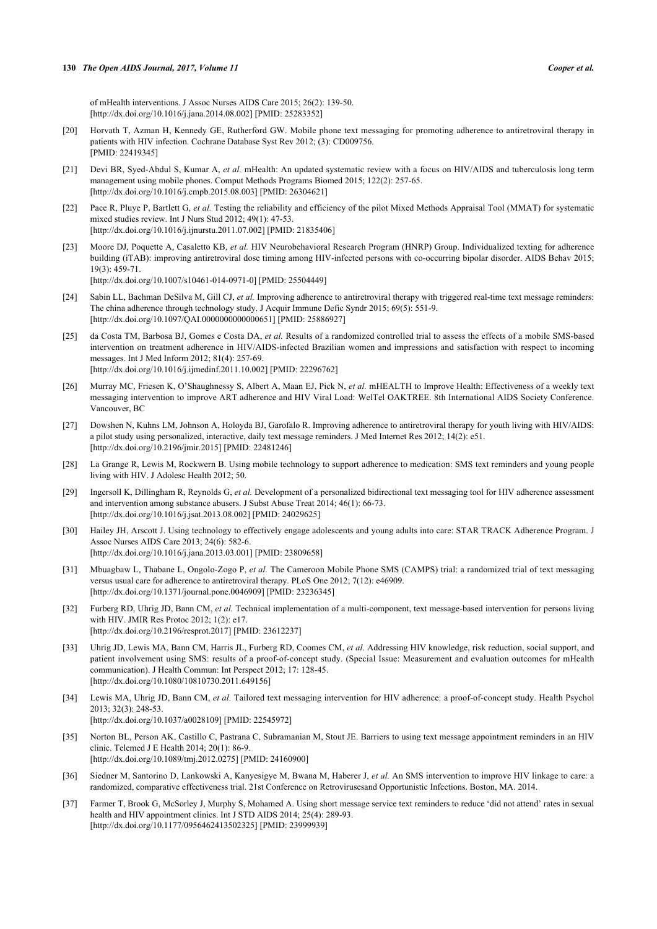of mHealth interventions. J Assoc Nurses AIDS Care 2015; 26(2): 139-50. [\[http://dx.doi.org/10.1016/j.jana.2014.08.002](http://dx.doi.org/10.1016/j.jana.2014.08.002)] [PMID: [25283352\]](http://www.ncbi.nlm.nih.gov/pubmed/25283352)

- <span id="page-11-1"></span>[20] Horvath T, Azman H, Kennedy GE, Rutherford GW. Mobile phone text messaging for promoting adherence to antiretroviral therapy in patients with HIV infection. Cochrane Database Syst Rev 2012; (3): CD009756. [PMID: [22419345\]](http://www.ncbi.nlm.nih.gov/pubmed/22419345)
- <span id="page-11-0"></span>[21] Devi BR, Syed-Abdul S, Kumar A, et al. mHealth: An updated systematic review with a focus on HIV/AIDS and tuberculosis long term management using mobile phones. Comput Methods Programs Biomed 2015; 122(2): 257-65. [\[http://dx.doi.org/10.1016/j.cmpb.2015.08.003\]](http://dx.doi.org/10.1016/j.cmpb.2015.08.003) [PMID: [26304621](http://www.ncbi.nlm.nih.gov/pubmed/26304621)]
- <span id="page-11-2"></span>[22] Pace R, Pluye P, Bartlett G, *et al.* Testing the reliability and efficiency of the pilot Mixed Methods Appraisal Tool (MMAT) for systematic mixed studies review. Int J Nurs Stud 2012; 49(1): 47-53. [\[http://dx.doi.org/10.1016/j.ijnurstu.2011.07.002](http://dx.doi.org/10.1016/j.ijnurstu.2011.07.002)] [PMID: [21835406](http://www.ncbi.nlm.nih.gov/pubmed/21835406)]
- <span id="page-11-3"></span>[23] Moore DJ, Poquette A, Casaletto KB, *et al.* HIV Neurobehavioral Research Program (HNRP) Group. Individualized texting for adherence building (iTAB): improving antiretroviral dose timing among HIV-infected persons with co-occurring bipolar disorder. AIDS Behav 2015;  $19(3)$ : 459-71. [\[http://dx.doi.org/10.1007/s10461-014-0971-0\]](http://dx.doi.org/10.1007/s10461-014-0971-0) [PMID: [25504449](http://www.ncbi.nlm.nih.gov/pubmed/25504449)]
- <span id="page-11-4"></span>[24] Sabin LL, Bachman DeSilva M, Gill CJ, *et al.* Improving adherence to antiretroviral therapy with triggered real-time text message reminders: The china adherence through technology study. J Acquir Immune Defic Syndr 2015; 69(5): 551-9. [\[http://dx.doi.org/10.1097/QAI.0000000000000651](http://dx.doi.org/10.1097/QAI.0000000000000651)] [PMID: [25886927\]](http://www.ncbi.nlm.nih.gov/pubmed/25886927)
- <span id="page-11-5"></span>[25] da Costa TM, Barbosa BJ, Gomes e Costa DA, *et al.* Results of a randomized controlled trial to assess the effects of a mobile SMS-based intervention on treatment adherence in HIV/AIDS-infected Brazilian women and impressions and satisfaction with respect to incoming messages. Int J Med Inform 2012; 81(4): 257-69. [\[http://dx.doi.org/10.1016/j.ijmedinf.2011.10.002](http://dx.doi.org/10.1016/j.ijmedinf.2011.10.002)] [PMID: [22296762\]](http://www.ncbi.nlm.nih.gov/pubmed/22296762)
- <span id="page-11-6"></span>[26] Murray MC, Friesen K, O'Shaughnessy S, Albert A, Maan EJ, Pick N, *et al.* mHEALTH to Improve Health: Effectiveness of a weekly text messaging intervention to improve ART adherence and HIV Viral Load: WelTel OAKTREE. 8th International AIDS Society Conference. Vancouver, BC
- <span id="page-11-7"></span>[27] Dowshen N, Kuhns LM, Johnson A, Holoyda BJ, Garofalo R. Improving adherence to antiretroviral therapy for youth living with HIV/AIDS: a pilot study using personalized, interactive, daily text message reminders. J Med Internet Res 2012; 14(2): e51. [\[http://dx.doi.org/10.2196/jmir.2015](http://dx.doi.org/10.2196/jmir.2015)] [PMID: [22481246\]](http://www.ncbi.nlm.nih.gov/pubmed/22481246)
- <span id="page-11-17"></span>[28] La Grange R, Lewis M, Rockwern B. Using mobile technology to support adherence to medication: SMS text reminders and young people living with HIV. J Adolesc Health 2012; 50.
- <span id="page-11-8"></span>[29] Ingersoll K, Dillingham R, Reynolds G, *et al.* Development of a personalized bidirectional text messaging tool for HIV adherence assessment and intervention among substance abusers. J Subst Abuse Treat 2014; 46(1): 66-73. [\[http://dx.doi.org/10.1016/j.jsat.2013.08.002](http://dx.doi.org/10.1016/j.jsat.2013.08.002)] [PMID: [24029625\]](http://www.ncbi.nlm.nih.gov/pubmed/24029625)
- <span id="page-11-9"></span>[30] Hailey JH, Arscott J. Using technology to effectively engage adolescents and young adults into care: STAR TRACK Adherence Program. J Assoc Nurses AIDS Care 2013; 24(6): 582-6. [\[http://dx.doi.org/10.1016/j.jana.2013.03.001](http://dx.doi.org/10.1016/j.jana.2013.03.001)] [PMID: [23809658\]](http://www.ncbi.nlm.nih.gov/pubmed/23809658)
- <span id="page-11-10"></span>[31] Mbuagbaw L, Thabane L, Ongolo-Zogo P, *et al.* The Cameroon Mobile Phone SMS (CAMPS) trial: a randomized trial of text messaging versus usual care for adherence to antiretroviral therapy. PLoS One 2012; 7(12): e46909. [\[http://dx.doi.org/10.1371/journal.pone.0046909](http://dx.doi.org/10.1371/journal.pone.0046909)] [PMID: [23236345\]](http://www.ncbi.nlm.nih.gov/pubmed/23236345)
- <span id="page-11-11"></span>[32] Furberg RD, Uhrig JD, Bann CM, *et al.* Technical implementation of a multi-component, text message-based intervention for persons living with HIV. JMIR Res Protoc 2012; 1(2): e17. [\[http://dx.doi.org/10.2196/resprot.2017](http://dx.doi.org/10.2196/resprot.2017)] [PMID: [23612237\]](http://www.ncbi.nlm.nih.gov/pubmed/23612237)
- <span id="page-11-13"></span>[33] Uhrig JD, Lewis MA, Bann CM, Harris JL, Furberg RD, Coomes CM, *et al.* Addressing HIV knowledge, risk reduction, social support, and patient involvement using SMS: results of a proof-of-concept study. (Special Issue: Measurement and evaluation outcomes for mHealth communication). J Health Commun: Int Perspect 2012; 17: 128-45. [\[http://dx.doi.org/10.1080/10810730.2011.649156\]](http://dx.doi.org/10.1080/10810730.2011.649156)
- <span id="page-11-12"></span>[34] Lewis MA, Uhrig JD, Bann CM, *et al.* Tailored text messaging intervention for HIV adherence: a proof-of-concept study. Health Psychol 2013; 32(3): 248-53. [\[http://dx.doi.org/10.1037/a0028109](http://dx.doi.org/10.1037/a0028109)] [PMID: [22545972\]](http://www.ncbi.nlm.nih.gov/pubmed/22545972)
- <span id="page-11-14"></span>[35] Norton BL, Person AK, Castillo C, Pastrana C, Subramanian M, Stout JE. Barriers to using text message appointment reminders in an HIV clinic. Telemed J E Health 2014; 20(1): 86-9. [\[http://dx.doi.org/10.1089/tmj.2012.0275](http://dx.doi.org/10.1089/tmj.2012.0275)] [PMID: [24160900](http://www.ncbi.nlm.nih.gov/pubmed/24160900)]
- <span id="page-11-15"></span>[36] Siedner M, Santorino D, Lankowski A, Kanyesigye M, Bwana M, Haberer J, *et al.* An SMS intervention to improve HIV linkage to care: a randomized, comparative effectiveness trial. 21st Conference on Retrovirusesand Opportunistic Infections. Boston, MA. 2014.
- <span id="page-11-16"></span>[37] Farmer T, Brook G, McSorley J, Murphy S, Mohamed A. Using short message service text reminders to reduce 'did not attend' rates in sexual health and HIV appointment clinics. Int J STD AIDS 2014; 25(4): 289-93. [\[http://dx.doi.org/10.1177/0956462413502325\]](http://dx.doi.org/10.1177/0956462413502325) [PMID: [23999939](http://www.ncbi.nlm.nih.gov/pubmed/23999939)]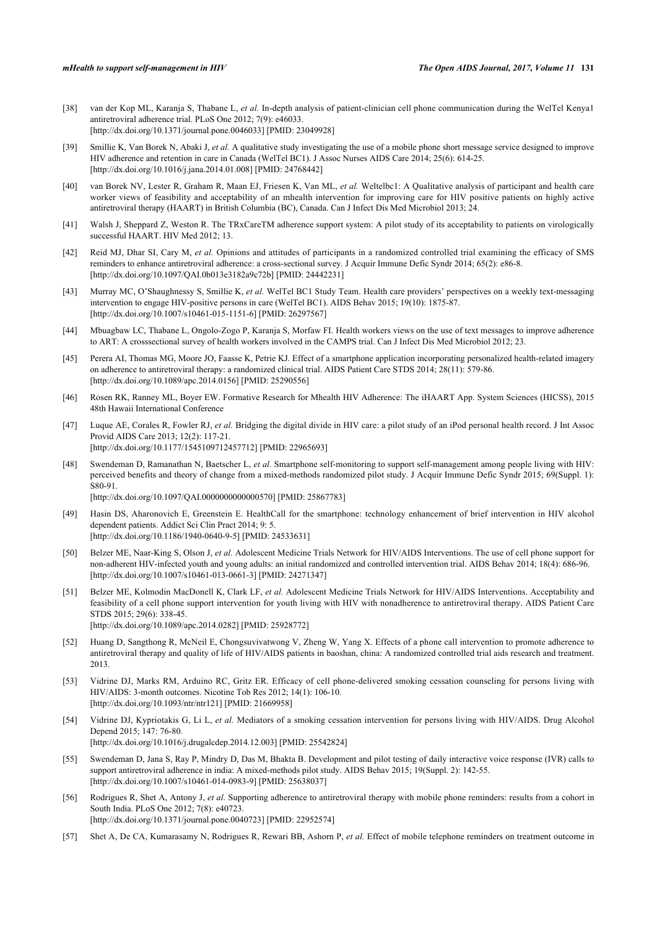- <span id="page-12-0"></span>[38] van der Kop ML, Karanja S, Thabane L, *et al.* In-depth analysis of patient-clinician cell phone communication during the WelTel Kenya1 antiretroviral adherence trial. PLoS One 2012; 7(9): e46033. [\[http://dx.doi.org/10.1371/journal.pone.0046033](http://dx.doi.org/10.1371/journal.pone.0046033)] [PMID: [23049928\]](http://www.ncbi.nlm.nih.gov/pubmed/23049928)
- <span id="page-12-2"></span>[39] Smillie K, Van Borek N, Abaki J, *et al.* A qualitative study investigating the use of a mobile phone short message service designed to improve HIV adherence and retention in care in Canada (WelTel BC1). J Assoc Nurses AIDS Care 2014; 25(6): 614-25. [\[http://dx.doi.org/10.1016/j.jana.2014.01.008](http://dx.doi.org/10.1016/j.jana.2014.01.008)] [PMID: [24768442\]](http://www.ncbi.nlm.nih.gov/pubmed/24768442)
- <span id="page-12-1"></span>[40] van Borek NV, Lester R, Graham R, Maan EJ, Friesen K, Van ML, *et al.* Weltelbc1: A Qualitative analysis of participant and health care worker views of feasibility and acceptability of an mhealth intervention for improving care for HIV positive patients on highly active antiretroviral therapy (HAART) in British Columbia (BC), Canada. Can J Infect Dis Med Microbiol 2013; 24.
- <span id="page-12-3"></span>[41] Walsh J, Sheppard Z, Weston R. The TRxCareTM adherence support system: A pilot study of its acceptability to patients on virologically successful HAART. HIV Med 2012; 13.
- <span id="page-12-4"></span>[42] Reid MJ, Dhar SI, Cary M, *et al.* Opinions and attitudes of participants in a randomized controlled trial examining the efficacy of SMS reminders to enhance antiretroviral adherence: a cross-sectional survey. J Acquir Immune Defic Syndr 2014; 65(2): e86-8. [\[http://dx.doi.org/10.1097/QAI.0b013e3182a9c72b\]](http://dx.doi.org/10.1097/QAI.0b013e3182a9c72b) [PMID: [24442231](http://www.ncbi.nlm.nih.gov/pubmed/24442231)]
- <span id="page-12-5"></span>[43] Murray MC, O'Shaughnessy S, Smillie K, *et al.* WelTel BC1 Study Team. Health care providers' perspectives on a weekly text-messaging intervention to engage HIV-positive persons in care (WelTel BC1). AIDS Behav 2015; 19(10): 1875-87. [\[http://dx.doi.org/10.1007/s10461-015-1151-6\]](http://dx.doi.org/10.1007/s10461-015-1151-6) [PMID: [26297567](http://www.ncbi.nlm.nih.gov/pubmed/26297567)]
- <span id="page-12-6"></span>[44] Mbuagbaw LC, Thabane L, Ongolo-Zogo P, Karanja S, Morfaw FI. Health workers views on the use of text messages to improve adherence to ART: A crosssectional survey of health workers involved in the CAMPS trial. Can J Infect Dis Med Microbiol 2012; 23.
- <span id="page-12-7"></span>[45] Perera AI, Thomas MG, Moore JO, Faasse K, Petrie KJ. Effect of a smartphone application incorporating personalized health-related imagery on adherence to antiretroviral therapy: a randomized clinical trial. AIDS Patient Care STDS 2014; 28(11): 579-86. [\[http://dx.doi.org/10.1089/apc.2014.0156\]](http://dx.doi.org/10.1089/apc.2014.0156) [PMID: [25290556](http://www.ncbi.nlm.nih.gov/pubmed/25290556)]
- <span id="page-12-8"></span>[46] Rosen RK, Ranney ML, Boyer EW. Formative Research for Mhealth HIV Adherence: The iHAART App. System Sciences (HICSS), 2015 48th Hawaii International Conference
- <span id="page-12-9"></span>[47] Luque AE, Corales R, Fowler RJ, *et al.* Bridging the digital divide in HIV care: a pilot study of an iPod personal health record. J Int Assoc Provid AIDS Care 2013; 12(2): 117-21. [\[http://dx.doi.org/10.1177/1545109712457712\]](http://dx.doi.org/10.1177/1545109712457712) [PMID: [22965693](http://www.ncbi.nlm.nih.gov/pubmed/22965693)]
- <span id="page-12-11"></span>[48] Swendeman D, Ramanathan N, Baetscher L, *et al.* Smartphone self-monitoring to support self-management among people living with HIV: perceived benefits and theory of change from a mixed-methods randomized pilot study. J Acquir Immune Defic Syndr 2015; 69(Suppl. 1): S80-91. [\[http://dx.doi.org/10.1097/QAI.0000000000000570](http://dx.doi.org/10.1097/QAI.0000000000000570)] [PMID: [25867783\]](http://www.ncbi.nlm.nih.gov/pubmed/25867783)
- <span id="page-12-10"></span>[49] Hasin DS, Aharonovich E, Greenstein E. HealthCall for the smartphone: technology enhancement of brief intervention in HIV alcohol dependent patients. Addict Sci Clin Pract 2014; 9: 5. [\[http://dx.doi.org/10.1186/1940-0640-9-5\]](http://dx.doi.org/10.1186/1940-0640-9-5) [PMID: [24533631](http://www.ncbi.nlm.nih.gov/pubmed/24533631)]
- <span id="page-12-12"></span>[50] Belzer ME, Naar-King S, Olson J, *et al.* Adolescent Medicine Trials Network for HIV/AIDS Interventions. The use of cell phone support for non-adherent HIV-infected youth and young adults: an initial randomized and controlled intervention trial. AIDS Behav 2014; 18(4): 686-96. [\[http://dx.doi.org/10.1007/s10461-013-0661-3\]](http://dx.doi.org/10.1007/s10461-013-0661-3) [PMID: [24271347](http://www.ncbi.nlm.nih.gov/pubmed/24271347)]
- <span id="page-12-13"></span>[51] Belzer ME, Kolmodin MacDonell K, Clark LF, *et al.* Adolescent Medicine Trials Network for HIV/AIDS Interventions. Acceptability and feasibility of a cell phone support intervention for youth living with HIV with nonadherence to antiretroviral therapy. AIDS Patient Care STDS 2015; 29(6): 338-45.
	- [\[http://dx.doi.org/10.1089/apc.2014.0282\]](http://dx.doi.org/10.1089/apc.2014.0282) [PMID: [25928772](http://www.ncbi.nlm.nih.gov/pubmed/25928772)]
- <span id="page-12-14"></span>[52] Huang D, Sangthong R, McNeil E, Chongsuvivatwong V, Zheng W, Yang X. Effects of a phone call intervention to promote adherence to antiretroviral therapy and quality of life of HIV/AIDS patients in baoshan, china: A randomized controlled trial aids research and treatment. 2013.
- <span id="page-12-15"></span>[53] Vidrine DJ, Marks RM, Arduino RC, Gritz ER. Efficacy of cell phone-delivered smoking cessation counseling for persons living with HIV/AIDS: 3-month outcomes. Nicotine Tob Res 2012; 14(1): 106-10. [\[http://dx.doi.org/10.1093/ntr/ntr121\]](http://dx.doi.org/10.1093/ntr/ntr121) [PMID: [21669958](http://www.ncbi.nlm.nih.gov/pubmed/21669958)]
- <span id="page-12-16"></span>[54] Vidrine DJ, Kypriotakis G, Li L, *et al.* Mediators of a smoking cessation intervention for persons living with HIV/AIDS. Drug Alcohol Depend 2015; 147: 76-80.
	- [\[http://dx.doi.org/10.1016/j.drugalcdep.2014.12.003\]](http://dx.doi.org/10.1016/j.drugalcdep.2014.12.003) [PMID: [25542824](http://www.ncbi.nlm.nih.gov/pubmed/25542824)]
- <span id="page-12-17"></span>[55] Swendeman D, Jana S, Ray P, Mindry D, Das M, Bhakta B. Development and pilot testing of daily interactive voice response (IVR) calls to support antiretroviral adherence in india: A mixed-methods pilot study. AIDS Behav 2015; 19(Suppl. 2): 142-55. [\[http://dx.doi.org/10.1007/s10461-014-0983-9\]](http://dx.doi.org/10.1007/s10461-014-0983-9) [PMID: [25638037](http://www.ncbi.nlm.nih.gov/pubmed/25638037)]
- <span id="page-12-18"></span>[56] Rodrigues R, Shet A, Antony J, *et al.* Supporting adherence to antiretroviral therapy with mobile phone reminders: results from a cohort in South India. PLoS One 2012; 7(8): e40723. [\[http://dx.doi.org/10.1371/journal.pone.0040723](http://dx.doi.org/10.1371/journal.pone.0040723)] [PMID: [22952574\]](http://www.ncbi.nlm.nih.gov/pubmed/22952574)
- <span id="page-12-19"></span>[57] Shet A, De CA, Kumarasamy N, Rodrigues R, Rewari BB, Ashorn P, *et al.* Effect of mobile telephone reminders on treatment outcome in